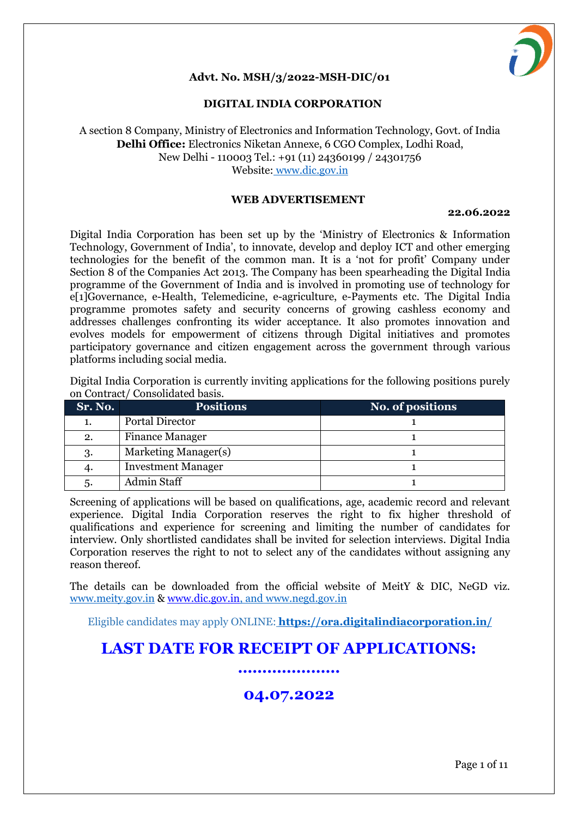

#### **Advt. No. MSH/3/2022-MSH-DIC/01**

#### **DIGITAL INDIA CORPORATION**

#### A section 8 Company, Ministry of Electronics and Information Technology, Govt. of India **Delhi Office:** Electronics Niketan Annexe, 6 CGO Complex, Lodhi Road, New Delhi - 110003 Tel.: +91 (11) 24360199 / 24301756 Website: www.dic.gov.in

#### **WEB ADVERTISEMENT**

#### **22.06.2022**

Digital India Corporation has been set up by the 'Ministry of Electronics & Information Technology, Government of India', to innovate, develop and deploy ICT and other emerging technologies for the benefit of the common man. It is a 'not for profit' Company under Section 8 of the Companies Act 2013. The Company has been spearheading the Digital India programme of the Government of India and is involved in promoting use of technology for e[1]Governance, e-Health, Telemedicine, e-agriculture, e-Payments etc. The Digital India programme promotes safety and security concerns of growing cashless economy and addresses challenges confronting its wider acceptance. It also promotes innovation and evolves models for empowerment of citizens through Digital initiatives and promotes participatory governance and citizen engagement across the government through various platforms including social media.

Digital India Corporation is currently inviting applications for the following positions purely on Contract/ Consolidated basis.

| Sr. No. | <b>Positions</b>          | No. of positions |
|---------|---------------------------|------------------|
|         | <b>Portal Director</b>    |                  |
| 2.      | <b>Finance Manager</b>    |                  |
| 3.      | Marketing Manager(s)      |                  |
|         | <b>Investment Manager</b> |                  |
| .ე.     | <b>Admin Staff</b>        |                  |

Screening of applications will be based on qualifications, age, academic record and relevant experience. Digital India Corporation reserves the right to fix higher threshold of qualifications and experience for screening and limiting the number of candidates for interview. Only shortlisted candidates shall be invited for selection interviews. Digital India Corporation reserves the right to not to select any of the candidates without assigning any reason thereof.

The details can be downloaded from the official website of MeitY & DIC, NeGD viz. www.meity.gov.in & [www.dic.gov.in,](http://www.dic.gov.in/) and www.negd.gov.in

Eligible candidates may apply ONLINE: **https://ora.digitalindiacorporation.in/**

# **LAST DATE FOR RECEIPT OF APPLICATIONS:**

# **…………………**

# **04.07.2022**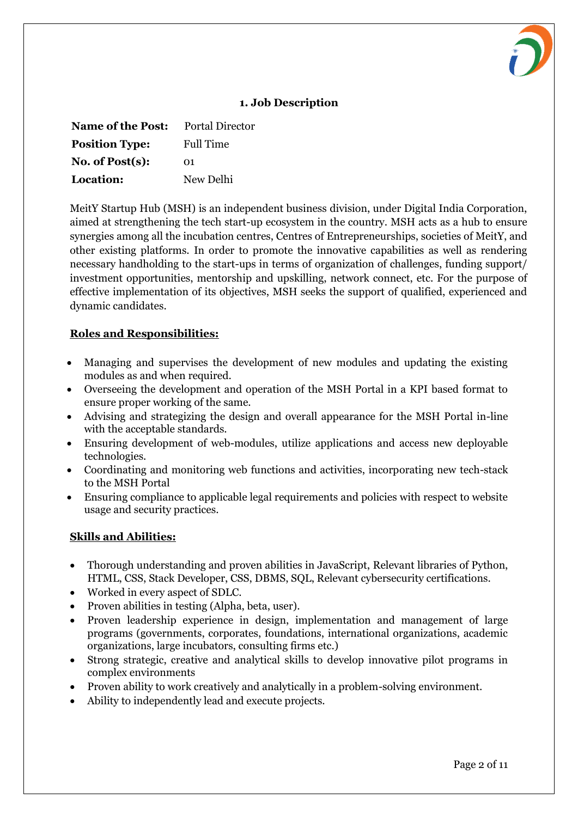

| <b>Name of the Post:</b> | <b>Portal Director</b> |
|--------------------------|------------------------|
| <b>Position Type:</b>    | <b>Full Time</b>       |
| No. of $Post(s)$ :       | $\Omega$ 1             |
| Location:                | New Delhi              |

MeitY Startup Hub (MSH) is an independent business division, under Digital India Corporation, aimed at strengthening the tech start-up ecosystem in the country. MSH acts as a hub to ensure synergies among all the incubation centres, Centres of Entrepreneurships, societies of MeitY, and other existing platforms. In order to promote the innovative capabilities as well as rendering necessary handholding to the start-ups in terms of organization of challenges, funding support/ investment opportunities, mentorship and upskilling, network connect, etc. For the purpose of effective implementation of its objectives, MSH seeks the support of qualified, experienced and dynamic candidates.

#### **Roles and Responsibilities:**

- Managing and supervises the development of new modules and updating the existing modules as and when required.
- Overseeing the development and operation of the MSH Portal in a KPI based format to ensure proper working of the same.
- Advising and strategizing the design and overall appearance for the MSH Portal in-line with the acceptable standards.
- Ensuring development of web-modules, utilize applications and access new deployable technologies.
- Coordinating and monitoring web functions and activities, incorporating new tech-stack to the MSH Portal
- Ensuring compliance to applicable legal requirements and policies with respect to website usage and security practices.

#### **Skills and Abilities:**

- Thorough understanding and proven abilities in JavaScript, Relevant libraries of Python, HTML, CSS, Stack Developer, CSS, DBMS, SQL, Relevant cybersecurity certifications.
- Worked in every aspect of SDLC.
- Proven abilities in testing (Alpha, beta, user).
- Proven leadership experience in design, implementation and management of large programs (governments, corporates, foundations, international organizations, academic organizations, large incubators, consulting firms etc.)
- Strong strategic, creative and analytical skills to develop innovative pilot programs in complex environments
- Proven ability to work creatively and analytically in a problem-solving environment.
- Ability to independently lead and execute projects.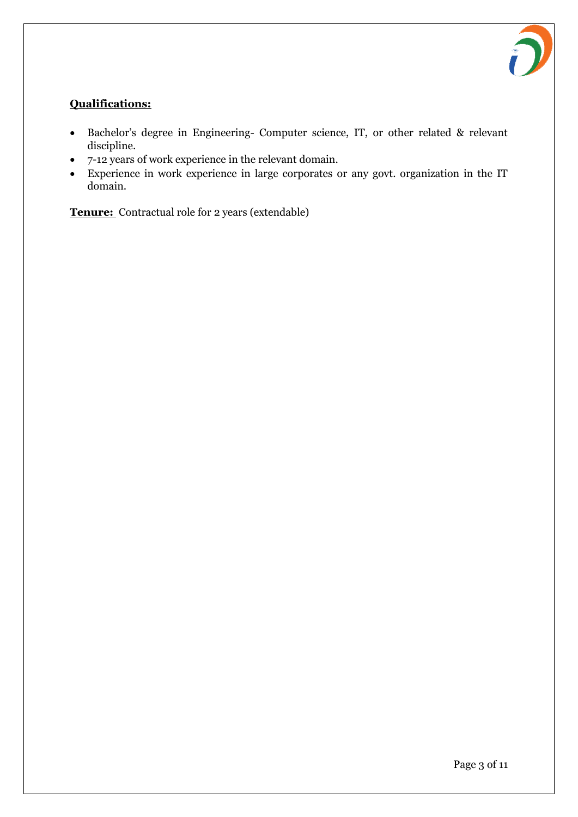

# **Qualifications:**

- Bachelor's degree in Engineering- Computer science, IT, or other related & relevant discipline.
- 7-12 years of work experience in the relevant domain.
- Experience in work experience in large corporates or any govt. organization in the IT domain.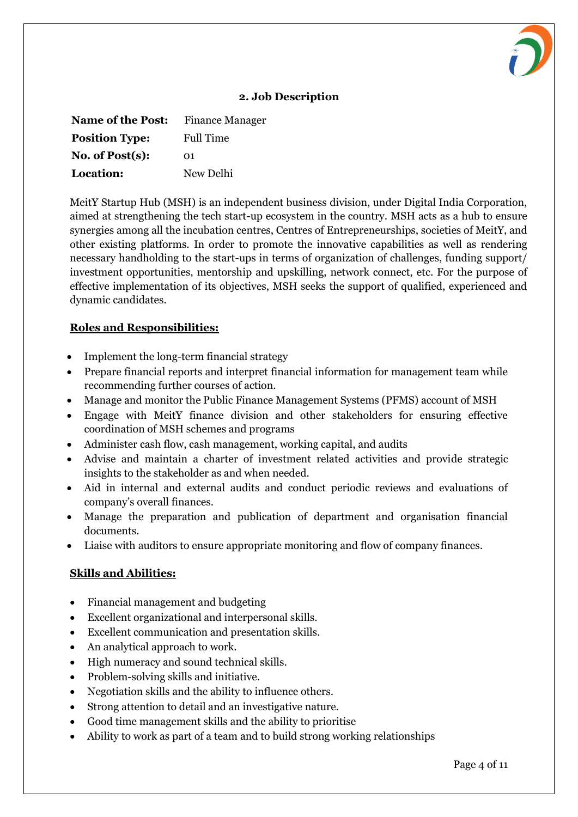

| <b>Name of the Post:</b> | <b>Finance Manager</b> |
|--------------------------|------------------------|
| <b>Position Type:</b>    | <b>Full Time</b>       |
| No. of $Post(s)$ :       | O1.                    |
| Location:                | New Delhi              |

MeitY Startup Hub (MSH) is an independent business division, under Digital India Corporation, aimed at strengthening the tech start-up ecosystem in the country. MSH acts as a hub to ensure synergies among all the incubation centres, Centres of Entrepreneurships, societies of MeitY, and other existing platforms. In order to promote the innovative capabilities as well as rendering necessary handholding to the start-ups in terms of organization of challenges, funding support/ investment opportunities, mentorship and upskilling, network connect, etc. For the purpose of effective implementation of its objectives, MSH seeks the support of qualified, experienced and dynamic candidates.

#### **Roles and Responsibilities:**

- Implement the long-term financial strategy
- Prepare financial reports and interpret financial information for management team while recommending further courses of action.
- Manage and monitor the Public Finance Management Systems (PFMS) account of MSH
- Engage with MeitY finance division and other stakeholders for ensuring effective coordination of MSH schemes and programs
- Administer cash flow, cash management, working capital, and audits
- Advise and maintain a charter of investment related activities and provide strategic insights to the stakeholder as and when needed.
- Aid in internal and external audits and conduct periodic reviews and evaluations of company's overall finances.
- Manage the preparation and publication of department and organisation financial documents.
- Liaise with auditors to ensure appropriate monitoring and flow of company finances.

## **Skills and Abilities:**

- Financial management and budgeting
- Excellent organizational and interpersonal skills.
- Excellent communication and presentation skills.
- An analytical approach to work.
- High numeracy and sound technical skills.
- Problem-solving skills and initiative.
- Negotiation skills and the ability to influence others.
- Strong attention to detail and an investigative nature.
- Good time management skills and the ability to prioritise
- Ability to work as part of a team and to build strong working relationships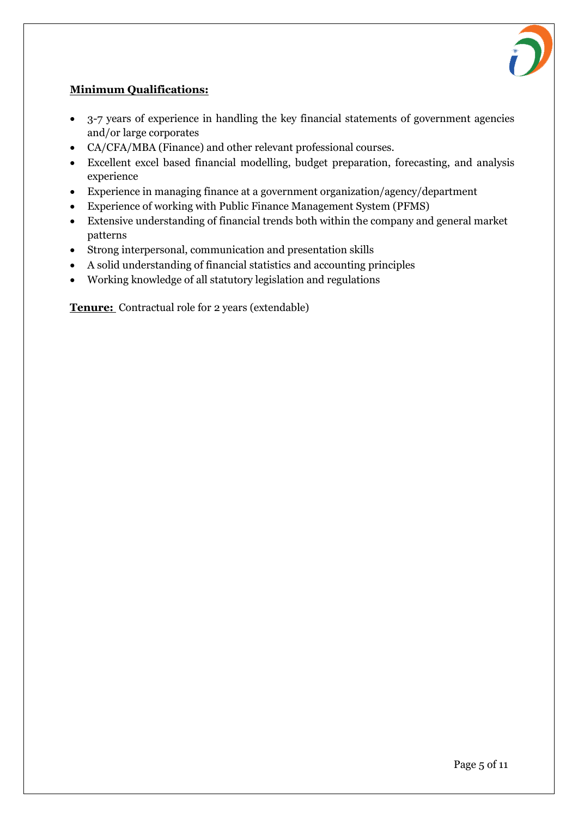

#### **Minimum Qualifications:**

- 3-7 years of experience in handling the key financial statements of government agencies and/or large corporates
- CA/CFA/MBA (Finance) and other relevant professional courses.
- Excellent excel based financial modelling, budget preparation, forecasting, and analysis experience
- Experience in managing finance at a government organization/agency/department
- Experience of working with Public Finance Management System (PFMS)
- Extensive understanding of financial trends both within the company and general market patterns
- Strong interpersonal, communication and presentation skills
- A solid understanding of financial statistics and accounting principles
- Working knowledge of all statutory legislation and regulations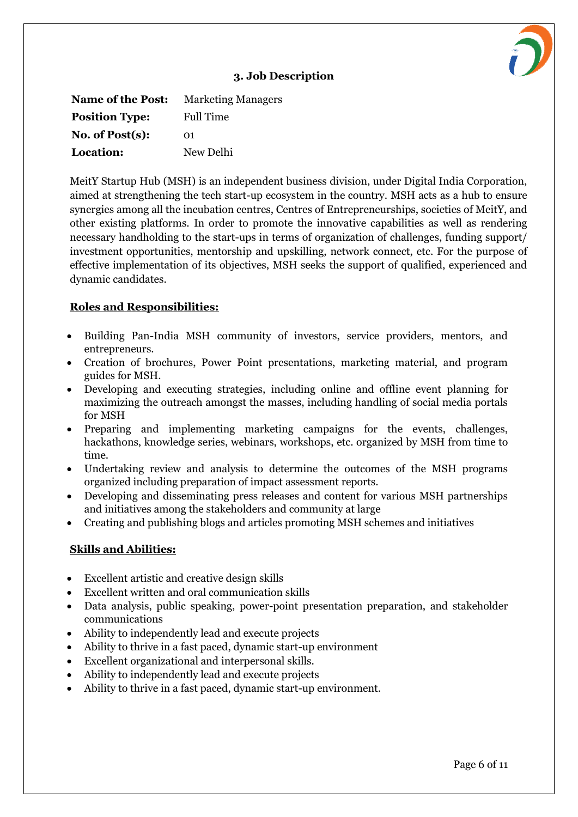**Name of the Post:** Marketing Managers **Position Type:** Full Time **No. of Post(s):** 01 **Location:** New Delhi

MeitY Startup Hub (MSH) is an independent business division, under Digital India Corporation, aimed at strengthening the tech start-up ecosystem in the country. MSH acts as a hub to ensure synergies among all the incubation centres, Centres of Entrepreneurships, societies of MeitY, and other existing platforms. In order to promote the innovative capabilities as well as rendering necessary handholding to the start-ups in terms of organization of challenges, funding support/ investment opportunities, mentorship and upskilling, network connect, etc. For the purpose of effective implementation of its objectives, MSH seeks the support of qualified, experienced and dynamic candidates.

#### **Roles and Responsibilities:**

- Building Pan-India MSH community of investors, service providers, mentors, and entrepreneurs.
- Creation of brochures, Power Point presentations, marketing material, and program guides for MSH.
- Developing and executing strategies, including online and offline event planning for maximizing the outreach amongst the masses, including handling of social media portals for MSH
- Preparing and implementing marketing campaigns for the events, challenges, hackathons, knowledge series, webinars, workshops, etc. organized by MSH from time to time.
- Undertaking review and analysis to determine the outcomes of the MSH programs organized including preparation of impact assessment reports.
- Developing and disseminating press releases and content for various MSH partnerships and initiatives among the stakeholders and community at large
- Creating and publishing blogs and articles promoting MSH schemes and initiatives

#### **Skills and Abilities:**

- Excellent artistic and creative design skills
- Excellent written and oral communication skills
- Data analysis, public speaking, power-point presentation preparation, and stakeholder communications
- Ability to independently lead and execute projects
- Ability to thrive in a fast paced, dynamic start-up environment
- Excellent organizational and interpersonal skills.
- Ability to independently lead and execute projects
- Ability to thrive in a fast paced, dynamic start-up environment.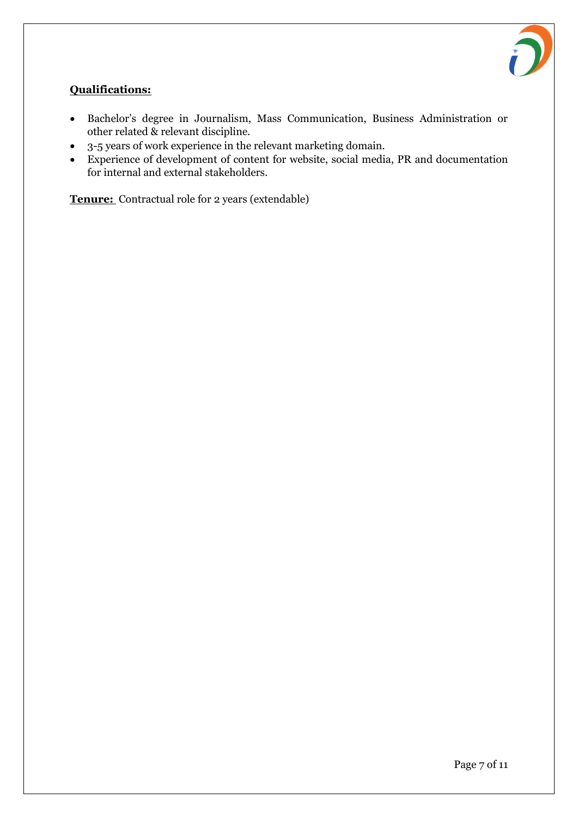

#### **Qualifications:**

- Bachelor's degree in Journalism, Mass Communication, Business Administration or other related & relevant discipline.
- 3-5 years of work experience in the relevant marketing domain.
- Experience of development of content for website, social media, PR and documentation for internal and external stakeholders.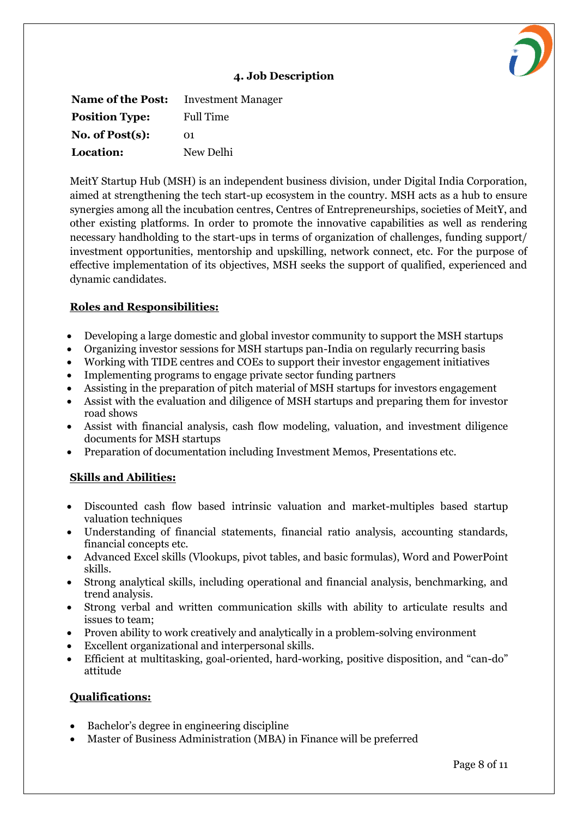**Name of the Post:** Investment Manager **Position Type:** Full Time **No. of Post(s):** 01 **Location:** New Delhi

MeitY Startup Hub (MSH) is an independent business division, under Digital India Corporation, aimed at strengthening the tech start-up ecosystem in the country. MSH acts as a hub to ensure synergies among all the incubation centres, Centres of Entrepreneurships, societies of MeitY, and other existing platforms. In order to promote the innovative capabilities as well as rendering necessary handholding to the start-ups in terms of organization of challenges, funding support/ investment opportunities, mentorship and upskilling, network connect, etc. For the purpose of effective implementation of its objectives, MSH seeks the support of qualified, experienced and dynamic candidates.

#### **Roles and Responsibilities:**

- Developing a large domestic and global investor community to support the MSH startups
- Organizing investor sessions for MSH startups pan-India on regularly recurring basis
- Working with TIDE centres and COEs to support their investor engagement initiatives
- Implementing programs to engage private sector funding partners
- Assisting in the preparation of pitch material of MSH startups for investors engagement
- Assist with the evaluation and diligence of MSH startups and preparing them for investor road shows
- Assist with financial analysis, cash flow modeling, valuation, and investment diligence documents for MSH startups
- Preparation of documentation including Investment Memos, Presentations etc.

## **Skills and Abilities:**

- Discounted cash flow based intrinsic valuation and market-multiples based startup valuation techniques
- Understanding of financial statements, financial ratio analysis, accounting standards, financial concepts etc.
- Advanced Excel skills (Vlookups, pivot tables, and basic formulas), Word and PowerPoint skills.
- Strong analytical skills, including operational and financial analysis, benchmarking, and trend analysis.
- Strong verbal and written communication skills with ability to articulate results and issues to team;
- Proven ability to work creatively and analytically in a problem-solving environment
- Excellent organizational and interpersonal skills.
- Efficient at multitasking, goal-oriented, hard-working, positive disposition, and "can-do" attitude

#### **Qualifications:**

- Bachelor's degree in engineering discipline
- Master of Business Administration (MBA) in Finance will be preferred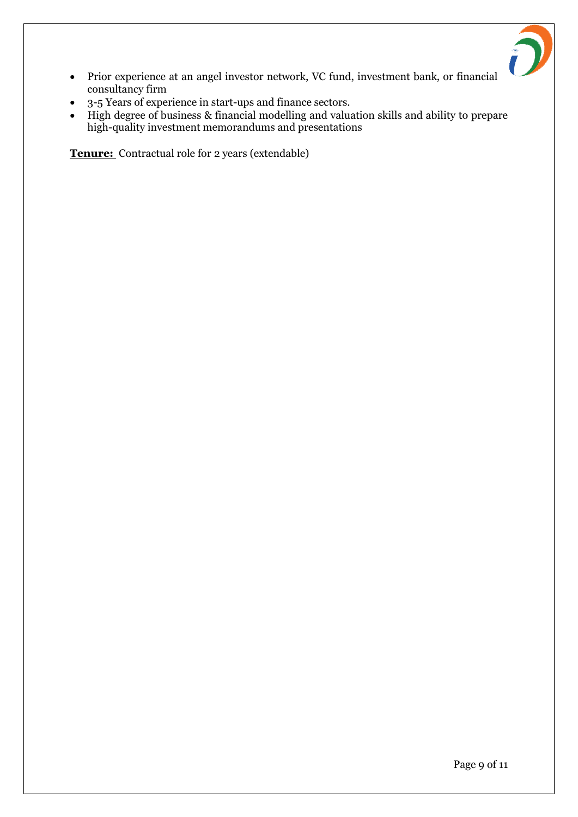

- Prior experience at an angel investor network, VC fund, investment bank, or financial consultancy firm
- 3-5 Years of experience in start-ups and finance sectors.
- High degree of business & financial modelling and valuation skills and ability to prepare high-quality investment memorandums and presentations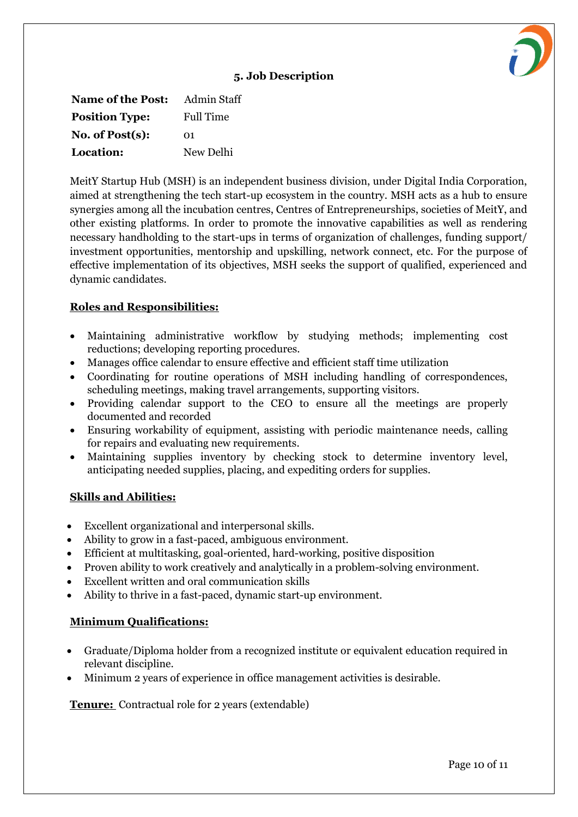**Name of the Post:** Admin Staff **Position Type:** Full Time **No. of Post(s):** 01 **Location:** New Delhi

MeitY Startup Hub (MSH) is an independent business division, under Digital India Corporation, aimed at strengthening the tech start-up ecosystem in the country. MSH acts as a hub to ensure synergies among all the incubation centres, Centres of Entrepreneurships, societies of MeitY, and other existing platforms. In order to promote the innovative capabilities as well as rendering necessary handholding to the start-ups in terms of organization of challenges, funding support/ investment opportunities, mentorship and upskilling, network connect, etc. For the purpose of effective implementation of its objectives, MSH seeks the support of qualified, experienced and dynamic candidates.

#### **Roles and Responsibilities:**

- Maintaining administrative workflow by studying methods; implementing cost reductions; developing reporting procedures.
- Manages office calendar to ensure effective and efficient staff time utilization
- Coordinating for routine operations of MSH including handling of correspondences, scheduling meetings, making travel arrangements, supporting visitors.
- Providing calendar support to the CEO to ensure all the meetings are properly documented and recorded
- Ensuring workability of equipment, assisting with periodic maintenance needs, calling for repairs and evaluating new requirements.
- Maintaining supplies inventory by checking stock to determine inventory level, anticipating needed supplies, placing, and expediting orders for supplies.

#### **Skills and Abilities:**

- Excellent organizational and interpersonal skills.
- Ability to grow in a fast-paced, ambiguous environment.
- Efficient at multitasking, goal-oriented, hard-working, positive disposition
- Proven ability to work creatively and analytically in a problem-solving environment.
- Excellent written and oral communication skills
- Ability to thrive in a fast-paced, dynamic start-up environment.

## **Minimum Qualifications:**

- Graduate/Diploma holder from a recognized institute or equivalent education required in relevant discipline.
- Minimum 2 years of experience in office management activities is desirable.